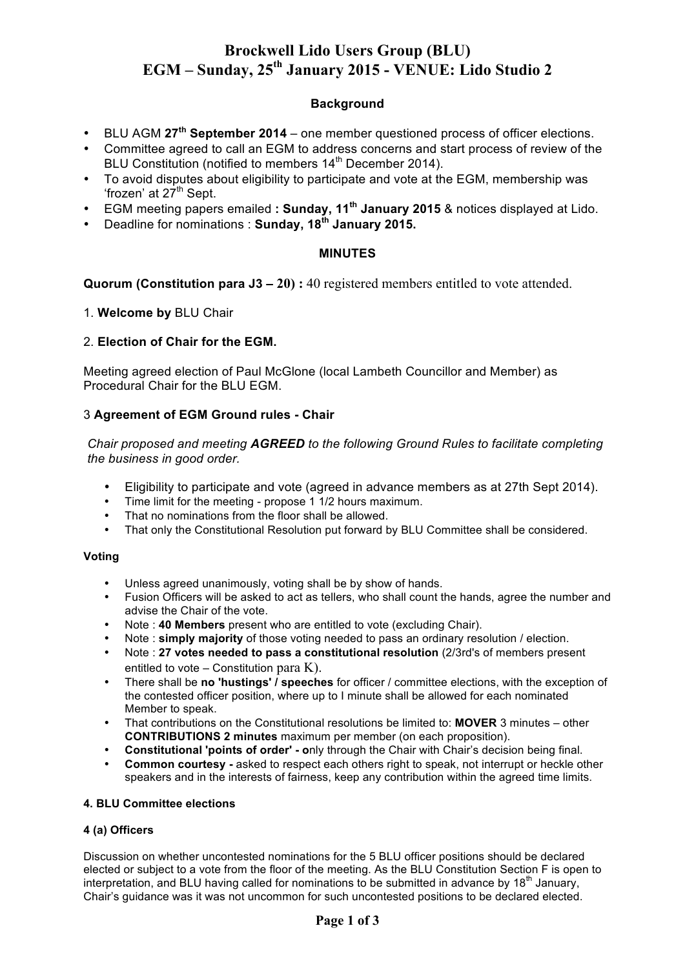# **Brockwell Lido Users Group (BLU) EGM – Sunday, 25th January 2015 - VENUE: Lido Studio 2**

### **Background**

- BLU AGM **27th September 2014** one member questioned process of officer elections.
- Committee agreed to call an EGM to address concerns and start process of review of the BLU Constitution (notified to members 14<sup>th</sup> December 2014).
- To avoid disputes about eligibility to participate and vote at the EGM, membership was 'frozen' at 27<sup>th</sup> Sept.
- EGM meeting papers emailed **: Sunday, 11th January 2015** & notices displayed at Lido.
- Deadline for nominations : **Sunday, 18th January 2015.**

### **MINUTES**

**Quorum (Constitution para J3 – 20) :** 40 registered members entitled to vote attended.

1. **Welcome by** BLU Chair

### 2. **Election of Chair for the EGM.**

Meeting agreed election of Paul McGlone (local Lambeth Councillor and Member) as Procedural Chair for the BLU EGM.

### 3 **Agreement of EGM Ground rules - Chair**

*Chair proposed and meeting AGREED to the following Ground Rules to facilitate completing the business in good order.* 

- Eligibility to participate and vote (agreed in advance members as at 27th Sept 2014).
- Time limit for the meeting propose 1 1/2 hours maximum.
- That no nominations from the floor shall be allowed.
- That only the Constitutional Resolution put forward by BLU Committee shall be considered.

#### **Voting**

- Unless agreed unanimously, voting shall be by show of hands.
- Fusion Officers will be asked to act as tellers, who shall count the hands, agree the number and advise the Chair of the vote.
- Note : **40 Members** present who are entitled to vote (excluding Chair).
- Note : **simply majority** of those voting needed to pass an ordinary resolution / election.
- Note : **27 votes needed to pass a constitutional resolution** (2/3rd's of members present entitled to vote – Constitution para  $K$ ).
- There shall be **no 'hustings' / speeches** for officer / committee elections, with the exception of the contested officer position, where up to I minute shall be allowed for each nominated Member to speak.
- That contributions on the Constitutional resolutions be limited to: **MOVER** 3 minutes other **CONTRIBUTIONS 2 minutes** maximum per member (on each proposition).
- **Constitutional 'points of order' - o**nly through the Chair with Chair's decision being final.
- **Common courtesy -** asked to respect each others right to speak, not interrupt or heckle other speakers and in the interests of fairness, keep any contribution within the agreed time limits.

#### **4. BLU Committee elections**

#### **4 (a) Officers**

Discussion on whether uncontested nominations for the 5 BLU officer positions should be declared elected or subject to a vote from the floor of the meeting. As the BLU Constitution Section F is open to interpretation, and BLU having called for nominations to be submitted in advance by 18<sup>th</sup> January, Chair's guidance was it was not uncommon for such uncontested positions to be declared elected.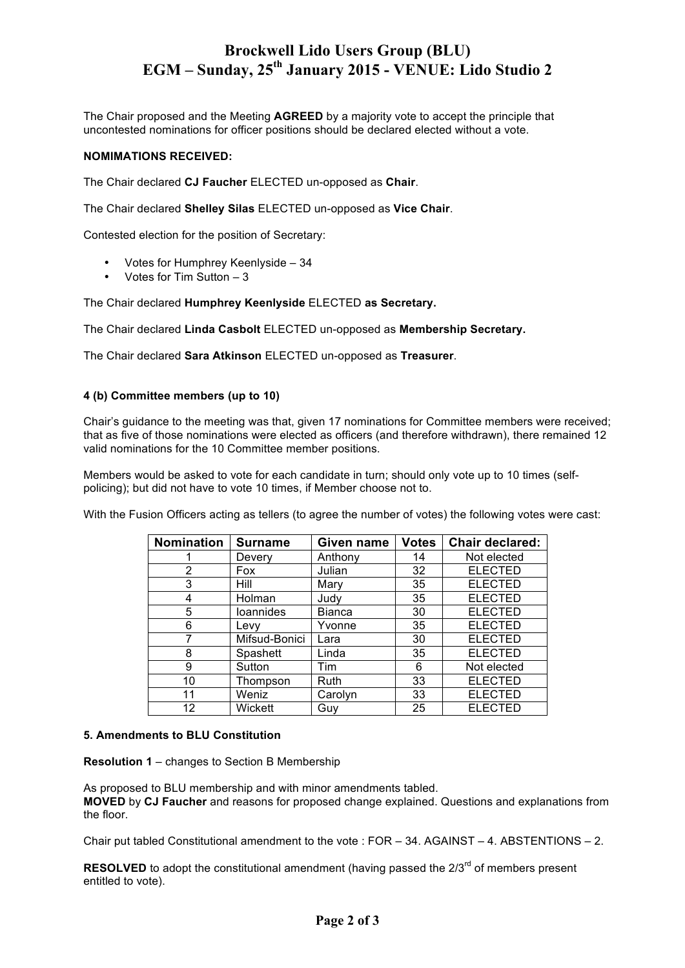# **Brockwell Lido Users Group (BLU) EGM – Sunday, 25th January 2015 - VENUE: Lido Studio 2**

The Chair proposed and the Meeting **AGREED** by a majority vote to accept the principle that uncontested nominations for officer positions should be declared elected without a vote.

#### **NOMIMATIONS RECEIVED:**

The Chair declared **CJ Faucher** ELECTED un-opposed as **Chair**.

The Chair declared **Shelley Silas** ELECTED un-opposed as **Vice Chair**.

Contested election for the position of Secretary:

- Votes for Humphrey Keenlyside 34
- Votes for Tim Sutton 3

The Chair declared **Humphrey Keenlyside** ELECTED **as Secretary.** 

The Chair declared **Linda Casbolt** ELECTED un-opposed as **Membership Secretary.**

The Chair declared **Sara Atkinson** ELECTED un-opposed as **Treasurer**.

#### **4 (b) Committee members (up to 10)**

Chair's guidance to the meeting was that, given 17 nominations for Committee members were received; that as five of those nominations were elected as officers (and therefore withdrawn), there remained 12 valid nominations for the 10 Committee member positions.

Members would be asked to vote for each candidate in turn; should only vote up to 10 times (selfpolicing); but did not have to vote 10 times, if Member choose not to.

With the Fusion Officers acting as tellers (to agree the number of votes) the following votes were cast:

| Nomination | <b>Surname</b>   | Given name    | <b>Votes</b> | <b>Chair declared:</b> |
|------------|------------------|---------------|--------------|------------------------|
|            | Devery           | Anthony       | 14           | Not elected            |
| 2          | Fox              | Julian        | 32           | <b>ELECTED</b>         |
| 3          | Hill             | Mary          | 35           | <b>ELECTED</b>         |
| 4          | Holman           | Judy          | 35           | <b>ELECTED</b>         |
| 5          | <b>loannides</b> | <b>Bianca</b> | 30           | <b>ELECTED</b>         |
| 6          | Levy             | Yvonne        | 35           | <b>ELECTED</b>         |
| 7          | Mifsud-Bonici    | Lara          | 30           | <b>ELECTED</b>         |
| 8          | Spashett         | Linda         | 35           | <b>ELECTED</b>         |
| 9          | Sutton           | Tim           | 6            | Not elected            |
| 10         | Thompson         | Ruth          | 33           | <b>ELECTED</b>         |
| 11         | Weniz            | Carolyn       | 33           | <b>ELECTED</b>         |
| 12         | Wickett          | Guy           | 25           | <b>ELECTED</b>         |

#### **5. Amendments to BLU Constitution**

**Resolution 1** – changes to Section B Membership

As proposed to BLU membership and with minor amendments tabled. **MOVED** by **CJ Faucher** and reasons for proposed change explained. Questions and explanations from the floor.

Chair put tabled Constitutional amendment to the vote : FOR – 34. AGAINST – 4. ABSTENTIONS – 2.

**RESOLVED** to adopt the constitutional amendment (having passed the 2/3<sup>rd</sup> of members present entitled to vote).